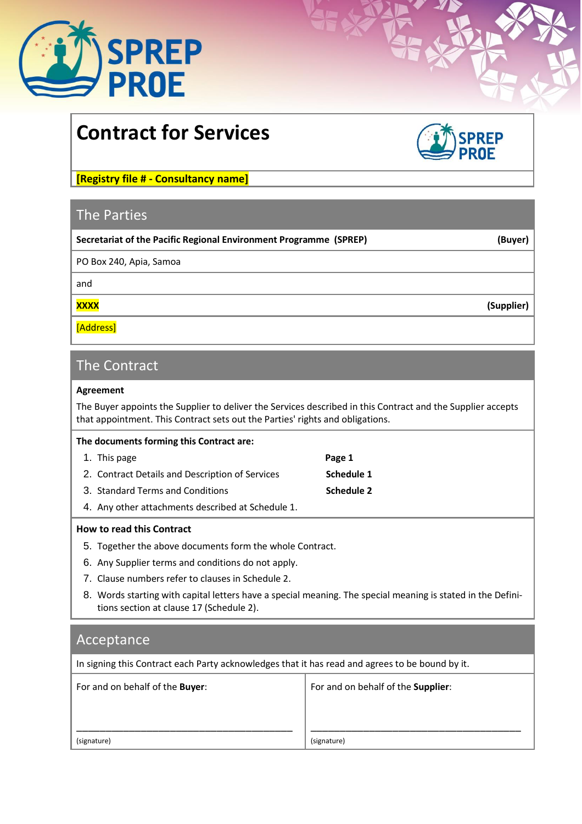

# **Contract for Services**



**[Registry file # - Consultancy name]**

## The Parties

| Secretariat of the Pacific Regional Environment Programme (SPREP) | (Buyer)    |
|-------------------------------------------------------------------|------------|
| PO Box 240, Apia, Samoa                                           |            |
| and                                                               |            |
| <b>XXXX</b>                                                       | (Supplier) |
| [Address]                                                         |            |

## The Contract

#### **Agreement**

The Buyer appoints the Supplier to deliver the Services described in this Contract and the Supplier accepts that appointment. This Contract sets out the Parties' rights and obligations.

| The documents forming this Contract are:          |                   |
|---------------------------------------------------|-------------------|
| 1. This page                                      | Page 1            |
| 2. Contract Details and Description of Services   | Schedule 1        |
| 3. Standard Terms and Conditions                  | <b>Schedule 2</b> |
| 4. Any other attachments described at Schedule 1. |                   |

## **How to read this Contract**

- 5. Together the above documents form the whole Contract.
- 6. Any Supplier terms and conditions do not apply.
- 7. Clause numbers refer to clauses in Schedule 2.
- 8. Words starting with capital letters have a special meaning. The special meaning is stated in the Definitions section at clause 17 (Schedule 2).

## Acceptance

In signing this Contract each Party acknowledges that it has read and agrees to be bound by it.

| For and on behalf of the Buyer: | For and on behalf of the Supplier: |
|---------------------------------|------------------------------------|
| (signature)                     | (signature)                        |

Τ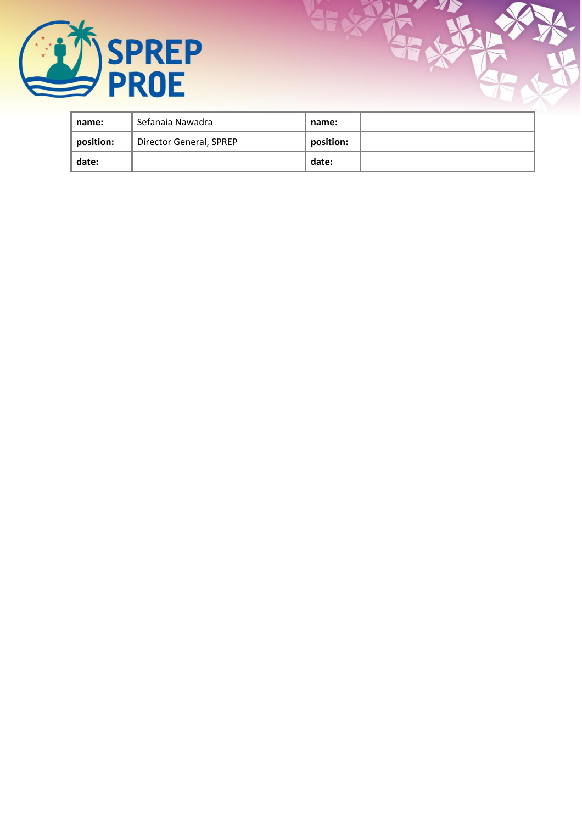

| name:     | Sefanaia Nawadra        | name:     |  |
|-----------|-------------------------|-----------|--|
| position: | Director General, SPREP | position: |  |
| date:     |                         | date:     |  |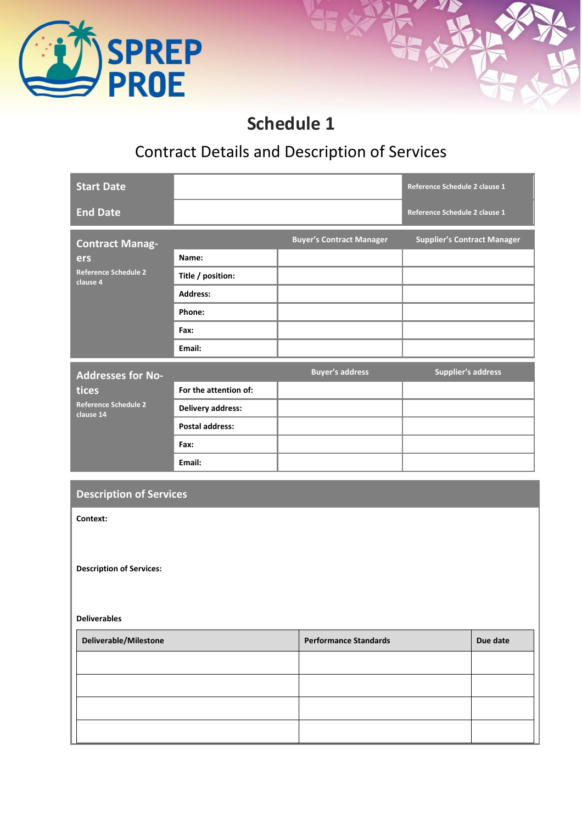

## **Schedule 1**

## Contract Details and Description of Services

| <b>Start Date</b>                        |                          |                                 | Reference Schedule 2 clause 1      |
|------------------------------------------|--------------------------|---------------------------------|------------------------------------|
| <b>End Date</b>                          |                          |                                 | Reference Schedule 2 clause 1      |
| <b>Contract Manag-</b>                   |                          | <b>Buyer's Contract Manager</b> | <b>Supplier's Contract Manager</b> |
| ers                                      | Name:                    |                                 |                                    |
| <b>Reference Schedule 2</b><br>clause 4  | Title / position:        |                                 |                                    |
|                                          | <b>Address:</b>          |                                 |                                    |
|                                          | Phone:                   |                                 |                                    |
|                                          | Fax:                     |                                 |                                    |
|                                          | Email:                   |                                 |                                    |
| <b>Addresses for No-</b>                 |                          | <b>Buyer's address</b>          | <b>Supplier's address</b>          |
| tices                                    | For the attention of:    |                                 |                                    |
| <b>Reference Schedule 2</b><br>clause 14 | <b>Delivery address:</b> |                                 |                                    |
|                                          | <b>Postal address:</b>   |                                 |                                    |
|                                          | Fax:                     |                                 |                                    |
|                                          | Email:                   |                                 |                                    |

## **Description of Services**

**Context:**

**Description of Services:**

#### **Deliverables**

| Deliverable/Milestone | <b>Performance Standards</b> | Due date |
|-----------------------|------------------------------|----------|
|                       |                              |          |
|                       |                              |          |
|                       |                              |          |
|                       |                              |          |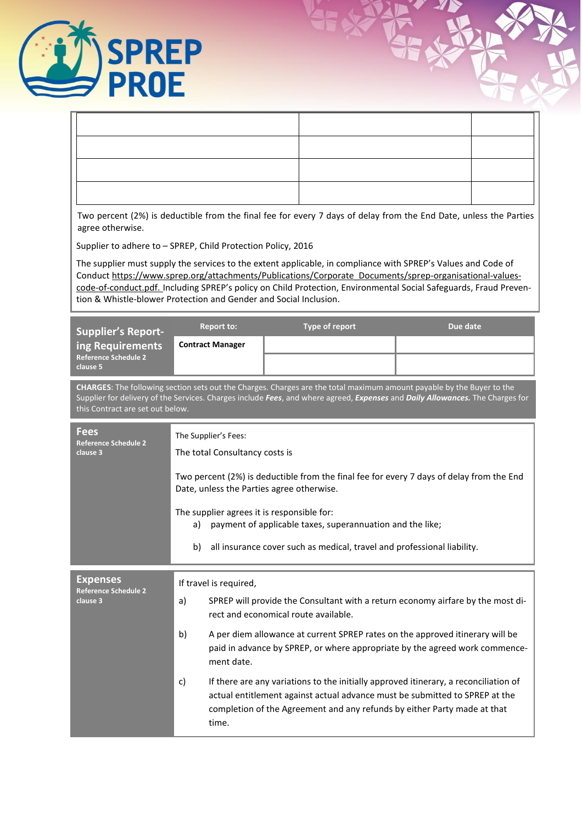

| agree otherwise.                                                                                                                                                                                                                                                                           |                                                                                                                                       |                                                                         | Two percent (2%) is deductible from the final fee for every 7 days of delay from the End Date, unless the Parties                                                                                                                               |
|--------------------------------------------------------------------------------------------------------------------------------------------------------------------------------------------------------------------------------------------------------------------------------------------|---------------------------------------------------------------------------------------------------------------------------------------|-------------------------------------------------------------------------|-------------------------------------------------------------------------------------------------------------------------------------------------------------------------------------------------------------------------------------------------|
|                                                                                                                                                                                                                                                                                            | Supplier to adhere to - SPREP, Child Protection Policy, 2016                                                                          |                                                                         |                                                                                                                                                                                                                                                 |
|                                                                                                                                                                                                                                                                                            | The supplier must supply the services to the extent applicable, in compliance with SPREP's Values and Code of                         |                                                                         | Conduct https://www.sprep.org/attachments/Publications/Corporate Documents/sprep-organisational-values-                                                                                                                                         |
|                                                                                                                                                                                                                                                                                            |                                                                                                                                       |                                                                         | code-of-conduct.pdf. Including SPREP's policy on Child Protection, Environmental Social Safeguards, Fraud Preven-                                                                                                                               |
|                                                                                                                                                                                                                                                                                            | tion & Whistle-blower Protection and Gender and Social Inclusion.                                                                     |                                                                         |                                                                                                                                                                                                                                                 |
| <b>Supplier's Report-</b>                                                                                                                                                                                                                                                                  | <b>Report to:</b>                                                                                                                     | Type of report                                                          | Due date                                                                                                                                                                                                                                        |
| ing Requirements<br><b>Reference Schedule 2</b>                                                                                                                                                                                                                                            | <b>Contract Manager</b>                                                                                                               |                                                                         |                                                                                                                                                                                                                                                 |
| clause 5                                                                                                                                                                                                                                                                                   |                                                                                                                                       |                                                                         |                                                                                                                                                                                                                                                 |
| CHARGES: The following section sets out the Charges. Charges are the total maximum amount payable by the Buyer to the<br>Supplier for delivery of the Services. Charges include Fees, and where agreed, Expenses and Daily Allowances. The Charges for<br>this Contract are set out below. |                                                                                                                                       |                                                                         |                                                                                                                                                                                                                                                 |
| <b>Fees</b>                                                                                                                                                                                                                                                                                | The Supplier's Fees:                                                                                                                  |                                                                         |                                                                                                                                                                                                                                                 |
| <b>Reference Schedule 2</b><br>clause 3                                                                                                                                                                                                                                                    | The total Consultancy costs is                                                                                                        |                                                                         |                                                                                                                                                                                                                                                 |
|                                                                                                                                                                                                                                                                                            | Two percent (2%) is deductible from the final fee for every 7 days of delay from the End<br>Date, unless the Parties agree otherwise. |                                                                         |                                                                                                                                                                                                                                                 |
|                                                                                                                                                                                                                                                                                            | The supplier agrees it is responsible for:<br>payment of applicable taxes, superannuation and the like;<br>a)                         |                                                                         |                                                                                                                                                                                                                                                 |
|                                                                                                                                                                                                                                                                                            | b)                                                                                                                                    | all insurance cover such as medical, travel and professional liability. |                                                                                                                                                                                                                                                 |
| <b>Expenses</b><br>If travel is required,                                                                                                                                                                                                                                                  |                                                                                                                                       |                                                                         |                                                                                                                                                                                                                                                 |
| <b>Reference Schedule 2</b><br>clause 3                                                                                                                                                                                                                                                    | a)<br>rect and economical route available.                                                                                            |                                                                         | SPREP will provide the Consultant with a return economy airfare by the most di-                                                                                                                                                                 |
|                                                                                                                                                                                                                                                                                            | b)                                                                                                                                    |                                                                         | A per diem allowance at current SPREP rates on the approved itinerary will be                                                                                                                                                                   |
|                                                                                                                                                                                                                                                                                            | ment date.                                                                                                                            |                                                                         | paid in advance by SPREP, or where appropriate by the agreed work commence-                                                                                                                                                                     |
|                                                                                                                                                                                                                                                                                            | c)                                                                                                                                    |                                                                         | If there are any variations to the initially approved itinerary, a reconciliation of<br>actual entitlement against actual advance must be submitted to SPREP at the<br>completion of the Agreement and any refunds by either Party made at that |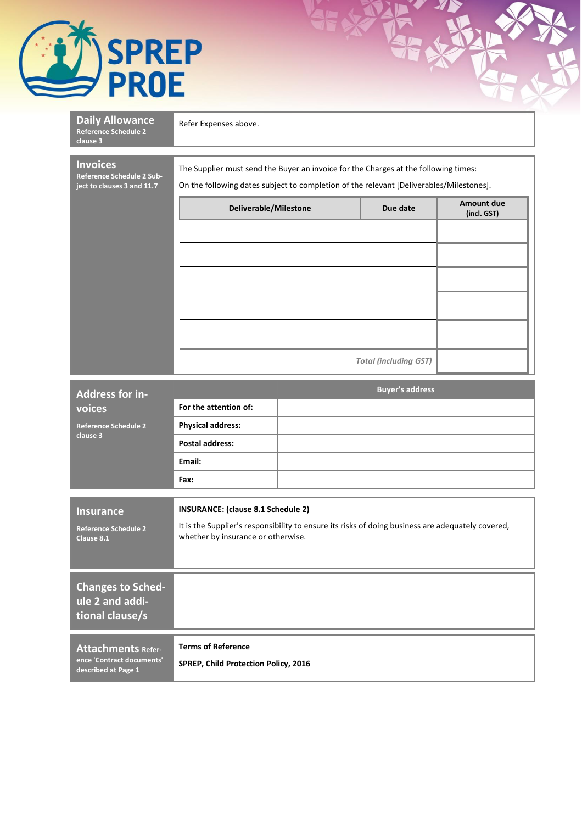

| <b>Daily Allowance</b><br><b>Reference Schedule 2</b><br>clause 3          | Refer Expenses above.                                                                                                                                                          |                              |  |  |  |
|----------------------------------------------------------------------------|--------------------------------------------------------------------------------------------------------------------------------------------------------------------------------|------------------------------|--|--|--|
| <b>Invoices</b><br>Reference Schedule 2 Sub-<br>ject to clauses 3 and 11.7 | The Supplier must send the Buyer an invoice for the Charges at the following times:<br>On the following dates subject to completion of the relevant [Deliverables/Milestones]. |                              |  |  |  |
|                                                                            | Amount due<br>Deliverable/Milestone<br>Due date<br>(incl. GST)                                                                                                                 |                              |  |  |  |
|                                                                            |                                                                                                                                                                                |                              |  |  |  |
|                                                                            |                                                                                                                                                                                |                              |  |  |  |
|                                                                            |                                                                                                                                                                                |                              |  |  |  |
|                                                                            |                                                                                                                                                                                |                              |  |  |  |
|                                                                            |                                                                                                                                                                                |                              |  |  |  |
|                                                                            |                                                                                                                                                                                |                              |  |  |  |
|                                                                            |                                                                                                                                                                                | <b>Total (including GST)</b> |  |  |  |
| Address for in-                                                            |                                                                                                                                                                                | <b>Buyer's address</b>       |  |  |  |
| voices<br><b>Reference Schedule 2</b>                                      | For the attention of:                                                                                                                                                          |                              |  |  |  |
| clause 3                                                                   | <b>Physical address:</b><br><b>Postal address:</b>                                                                                                                             |                              |  |  |  |
|                                                                            | Email:                                                                                                                                                                         |                              |  |  |  |
|                                                                            | Fax:                                                                                                                                                                           |                              |  |  |  |
| <b>Insurance</b>                                                           | <b>INSURANCE:</b> (clause 8.1 Schedule 2)                                                                                                                                      |                              |  |  |  |
| <b>Reference Schedule 2</b><br>Clause 8.1                                  | It is the Supplier's responsibility to ensure its risks of doing business are adequately covered,<br>whether by insurance or otherwise.                                        |                              |  |  |  |
|                                                                            |                                                                                                                                                                                |                              |  |  |  |
| <b>Changes to Sched-</b>                                                   |                                                                                                                                                                                |                              |  |  |  |
| ule 2 and addi-<br>tional clause/s                                         |                                                                                                                                                                                |                              |  |  |  |
| <b>Attachments Refer-</b>                                                  | <b>Terms of Reference</b>                                                                                                                                                      |                              |  |  |  |
| ence 'Contract documents'<br>described at Page 1                           | SPREP, Child Protection Policy, 2016                                                                                                                                           |                              |  |  |  |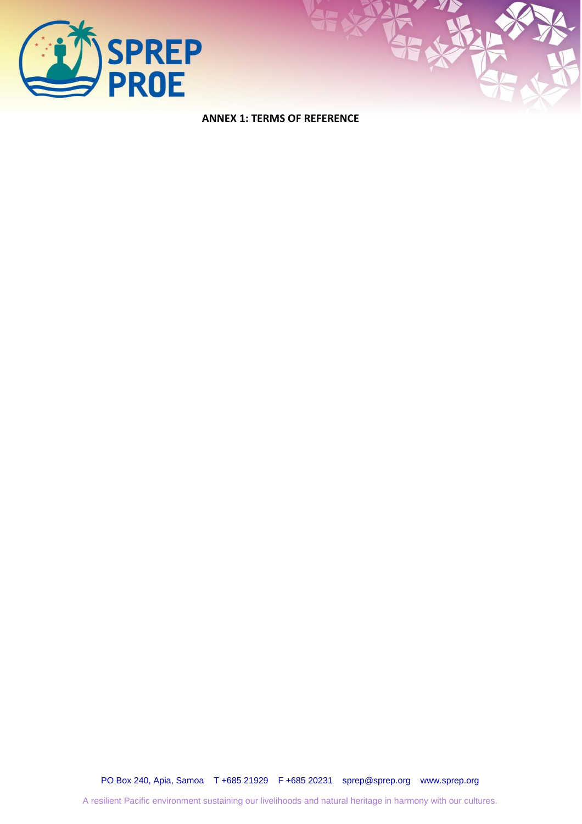

**ANNEX 1: TERMS OF REFERENCE**

PO Box 240, Apia, Samoa T +685 21929 F +685 20231 [sprep@sprep.org](mailto:sprep@sprep.org) [www.sprep.org](http://www.sprep.org/)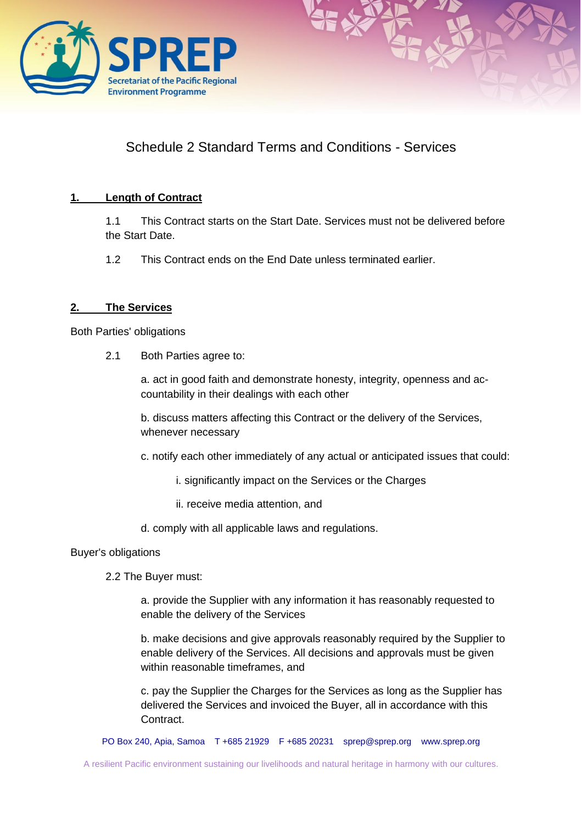



## Schedule 2 Standard Terms and Conditions - Services

## **1. Length of Contract**

1.1 This Contract starts on the Start Date. Services must not be delivered before the Start Date.

1.2 This Contract ends on the End Date unless terminated earlier.

## **2. The Services**

Both Parties' obligations

2.1 Both Parties agree to:

a. act in good faith and demonstrate honesty, integrity, openness and accountability in their dealings with each other

b. discuss matters affecting this Contract or the delivery of the Services, whenever necessary

c. notify each other immediately of any actual or anticipated issues that could:

- i. significantly impact on the Services or the Charges
- ii. receive media attention, and

d. comply with all applicable laws and regulations.

#### Buyer's obligations

2.2 The Buyer must:

a. provide the Supplier with any information it has reasonably requested to enable the delivery of the Services

b. make decisions and give approvals reasonably required by the Supplier to enable delivery of the Services. All decisions and approvals must be given within reasonable timeframes, and

c. pay the Supplier the Charges for the Services as long as the Supplier has delivered the Services and invoiced the Buyer, all in accordance with this Contract.

PO Box 240, Apia, Samoa T +685 21929 F +685 20231 [sprep@sprep.org](mailto:sprep@sprep.org) [www.sprep.org](http://www.sprep.org/)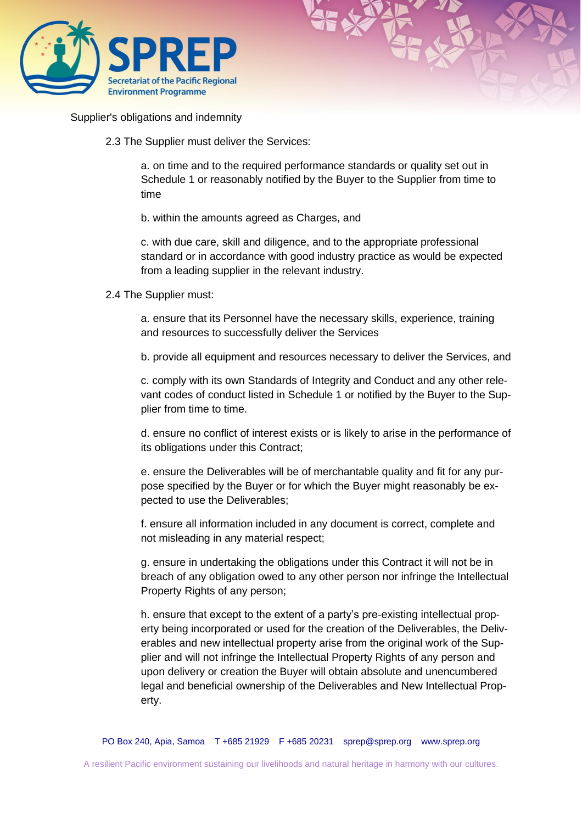



Supplier's obligations and indemnity

2.3 The Supplier must deliver the Services:

a. on time and to the required performance standards or quality set out in Schedule 1 or reasonably notified by the Buyer to the Supplier from time to time

b. within the amounts agreed as Charges, and

c. with due care, skill and diligence, and to the appropriate professional standard or in accordance with good industry practice as would be expected from a leading supplier in the relevant industry.

2.4 The Supplier must:

a. ensure that its Personnel have the necessary skills, experience, training and resources to successfully deliver the Services

b. provide all equipment and resources necessary to deliver the Services, and

c. comply with its own Standards of Integrity and Conduct and any other relevant codes of conduct listed in Schedule 1 or notified by the Buyer to the Supplier from time to time.

d. ensure no conflict of interest exists or is likely to arise in the performance of its obligations under this Contract;

e. ensure the Deliverables will be of merchantable quality and fit for any purpose specified by the Buyer or for which the Buyer might reasonably be expected to use the Deliverables;

f. ensure all information included in any document is correct, complete and not misleading in any material respect;

g. ensure in undertaking the obligations under this Contract it will not be in breach of any obligation owed to any other person nor infringe the Intellectual Property Rights of any person;

h. ensure that except to the extent of a party's pre-existing intellectual property being incorporated or used for the creation of the Deliverables, the Deliverables and new intellectual property arise from the original work of the Supplier and will not infringe the Intellectual Property Rights of any person and upon delivery or creation the Buyer will obtain absolute and unencumbered legal and beneficial ownership of the Deliverables and New Intellectual Property.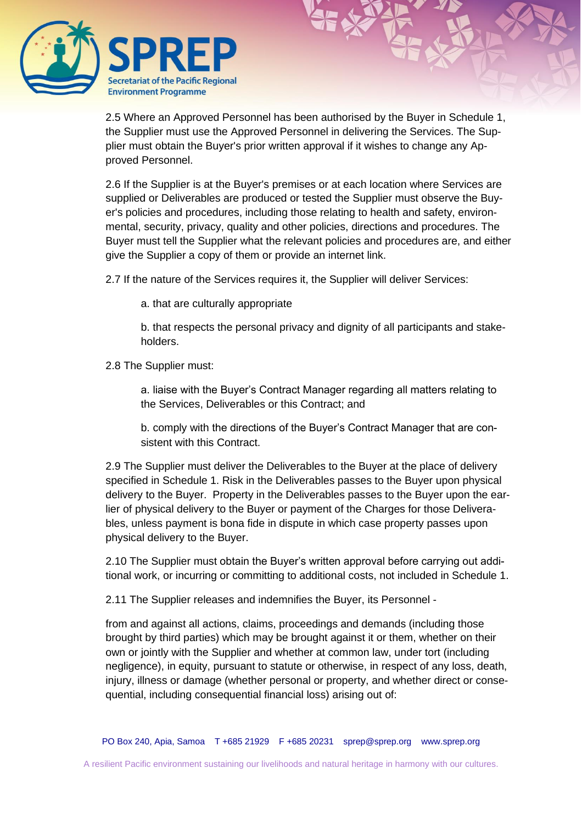

2.5 Where an Approved Personnel has been authorised by the Buyer in Schedule 1, the Supplier must use the Approved Personnel in delivering the Services. The Supplier must obtain the Buyer's prior written approval if it wishes to change any Approved Personnel.

2.6 If the Supplier is at the Buyer's premises or at each location where Services are supplied or Deliverables are produced or tested the Supplier must observe the Buyer's policies and procedures, including those relating to health and safety, environmental, security, privacy, quality and other policies, directions and procedures. The Buyer must tell the Supplier what the relevant policies and procedures are, and either give the Supplier a copy of them or provide an internet link.

2.7 If the nature of the Services requires it, the Supplier will deliver Services:

a. that are culturally appropriate

b. that respects the personal privacy and dignity of all participants and stakeholders.

2.8 The Supplier must:

a. liaise with the Buyer's Contract Manager regarding all matters relating to the Services, Deliverables or this Contract; and

b. comply with the directions of the Buyer's Contract Manager that are consistent with this Contract.

2.9 The Supplier must deliver the Deliverables to the Buyer at the place of delivery specified in Schedule 1. Risk in the Deliverables passes to the Buyer upon physical delivery to the Buyer. Property in the Deliverables passes to the Buyer upon the earlier of physical delivery to the Buyer or payment of the Charges for those Deliverables, unless payment is bona fide in dispute in which case property passes upon physical delivery to the Buyer.

2.10 The Supplier must obtain the Buyer's written approval before carrying out additional work, or incurring or committing to additional costs, not included in Schedule 1.

2.11 The Supplier releases and indemnifies the Buyer, its Personnel -

from and against all actions, claims, proceedings and demands (including those brought by third parties) which may be brought against it or them, whether on their own or jointly with the Supplier and whether at common law, under tort (including negligence), in equity, pursuant to statute or otherwise, in respect of any loss, death, injury, illness or damage (whether personal or property, and whether direct or consequential, including consequential financial loss) arising out of: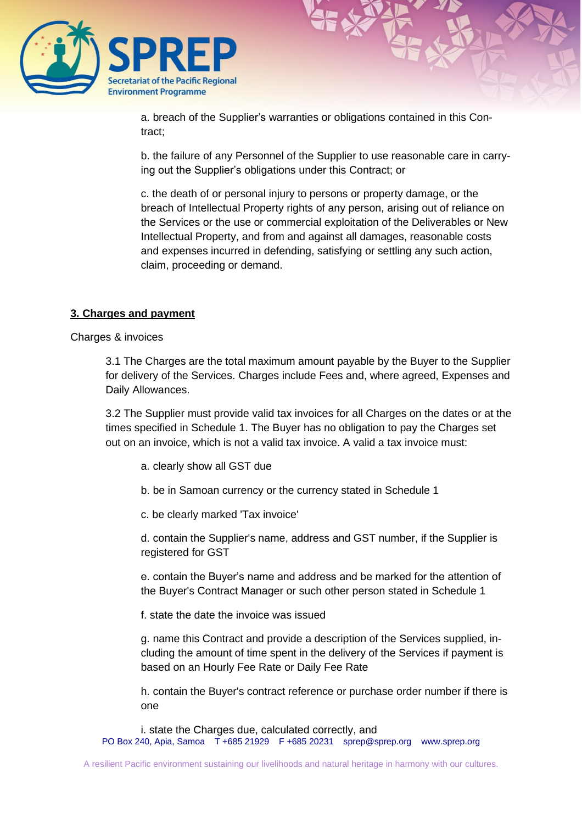

a. breach of the Supplier's warranties or obligations contained in this Contract;

b. the failure of any Personnel of the Supplier to use reasonable care in carrying out the Supplier's obligations under this Contract; or

c. the death of or personal injury to persons or property damage, or the breach of Intellectual Property rights of any person, arising out of reliance on the Services or the use or commercial exploitation of the Deliverables or New Intellectual Property, and from and against all damages, reasonable costs and expenses incurred in defending, satisfying or settling any such action, claim, proceeding or demand.

#### **3. Charges and payment**

Charges & invoices

3.1 The Charges are the total maximum amount payable by the Buyer to the Supplier for delivery of the Services. Charges include Fees and, where agreed, Expenses and Daily Allowances.

3.2 The Supplier must provide valid tax invoices for all Charges on the dates or at the times specified in Schedule 1. The Buyer has no obligation to pay the Charges set out on an invoice, which is not a valid tax invoice. A valid a tax invoice must:

- a. clearly show all GST due
- b. be in Samoan currency or the currency stated in Schedule 1
- c. be clearly marked 'Tax invoice'

d. contain the Supplier's name, address and GST number, if the Supplier is registered for GST

e. contain the Buyer's name and address and be marked for the attention of the Buyer's Contract Manager or such other person stated in Schedule 1

f. state the date the invoice was issued

g. name this Contract and provide a description of the Services supplied, including the amount of time spent in the delivery of the Services if payment is based on an Hourly Fee Rate or Daily Fee Rate

h. contain the Buyer's contract reference or purchase order number if there is one

PO Box 240, Apia, Samoa T +685 21929 F +685 20231 [sprep@sprep.org](mailto:sprep@sprep.org) [www.sprep.org](http://www.sprep.org/) i. state the Charges due, calculated correctly, and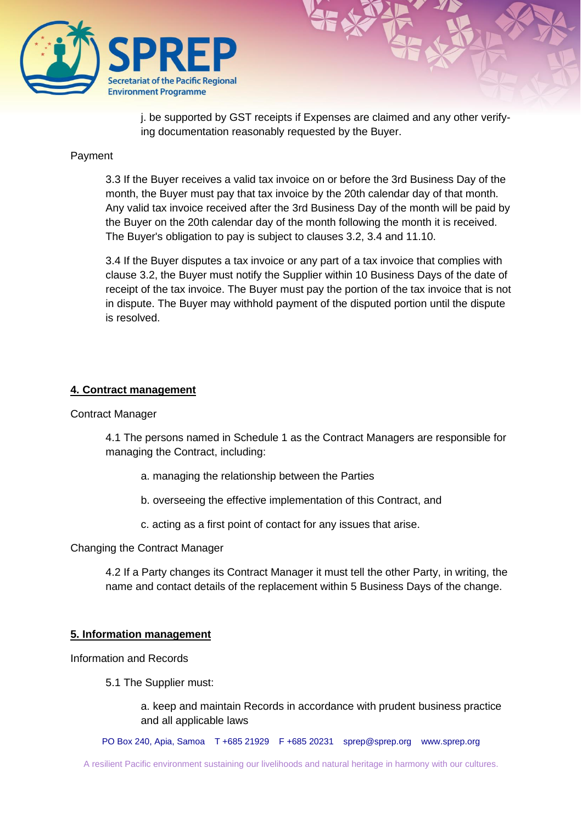

j. be supported by GST receipts if Expenses are claimed and any other verifying documentation reasonably requested by the Buyer.

#### Payment

3.3 If the Buyer receives a valid tax invoice on or before the 3rd Business Day of the month, the Buyer must pay that tax invoice by the 20th calendar day of that month. Any valid tax invoice received after the 3rd Business Day of the month will be paid by the Buyer on the 20th calendar day of the month following the month it is received. The Buyer's obligation to pay is subject to clauses 3.2, 3.4 and 11.10.

3.4 If the Buyer disputes a tax invoice or any part of a tax invoice that complies with clause 3.2, the Buyer must notify the Supplier within 10 Business Days of the date of receipt of the tax invoice. The Buyer must pay the portion of the tax invoice that is not in dispute. The Buyer may withhold payment of the disputed portion until the dispute is resolved.

#### **4. Contract management**

Contract Manager

4.1 The persons named in Schedule 1 as the Contract Managers are responsible for managing the Contract, including:

- a. managing the relationship between the Parties
- b. overseeing the effective implementation of this Contract, and
- c. acting as a first point of contact for any issues that arise.

Changing the Contract Manager

4.2 If a Party changes its Contract Manager it must tell the other Party, in writing, the name and contact details of the replacement within 5 Business Days of the change.

#### **5. Information management**

Information and Records

5.1 The Supplier must:

a. keep and maintain Records in accordance with prudent business practice and all applicable laws

PO Box 240, Apia, Samoa T +685 21929 F +685 20231 [sprep@sprep.org](mailto:sprep@sprep.org) [www.sprep.org](http://www.sprep.org/)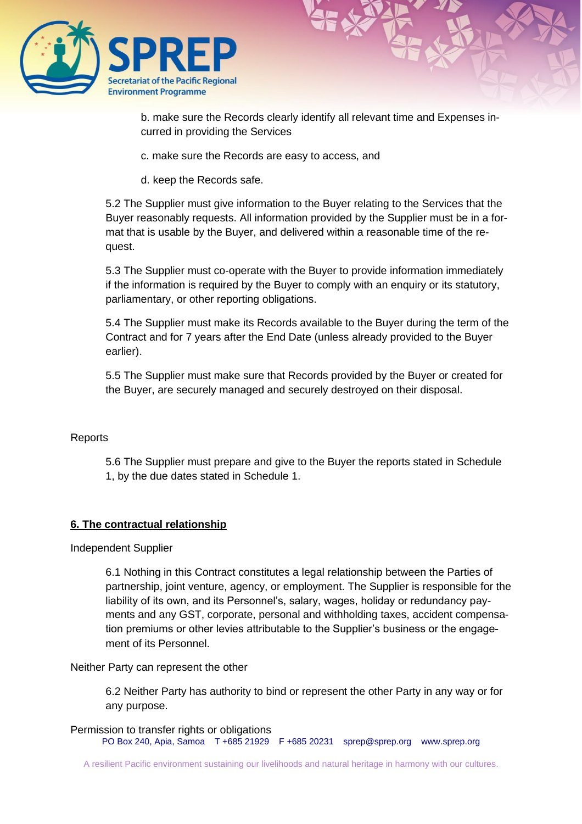

b. make sure the Records clearly identify all relevant time and Expenses incurred in providing the Services

c. make sure the Records are easy to access, and

d. keep the Records safe.

5.2 The Supplier must give information to the Buyer relating to the Services that the Buyer reasonably requests. All information provided by the Supplier must be in a format that is usable by the Buyer, and delivered within a reasonable time of the request.

5.3 The Supplier must co-operate with the Buyer to provide information immediately if the information is required by the Buyer to comply with an enquiry or its statutory, parliamentary, or other reporting obligations.

5.4 The Supplier must make its Records available to the Buyer during the term of the Contract and for 7 years after the End Date (unless already provided to the Buyer earlier).

5.5 The Supplier must make sure that Records provided by the Buyer or created for the Buyer, are securely managed and securely destroyed on their disposal.

#### **Reports**

5.6 The Supplier must prepare and give to the Buyer the reports stated in Schedule 1, by the due dates stated in Schedule 1.

#### **6. The contractual relationship**

Independent Supplier

6.1 Nothing in this Contract constitutes a legal relationship between the Parties of partnership, joint venture, agency, or employment. The Supplier is responsible for the liability of its own, and its Personnel's, salary, wages, holiday or redundancy payments and any GST, corporate, personal and withholding taxes, accident compensation premiums or other levies attributable to the Supplier's business or the engagement of its Personnel.

#### Neither Party can represent the other

6.2 Neither Party has authority to bind or represent the other Party in any way or for any purpose.

PO Box 240, Apia, Samoa T +685 21929 F +685 20231 [sprep@sprep.org](mailto:sprep@sprep.org) [www.sprep.org](http://www.sprep.org/) Permission to transfer rights or obligations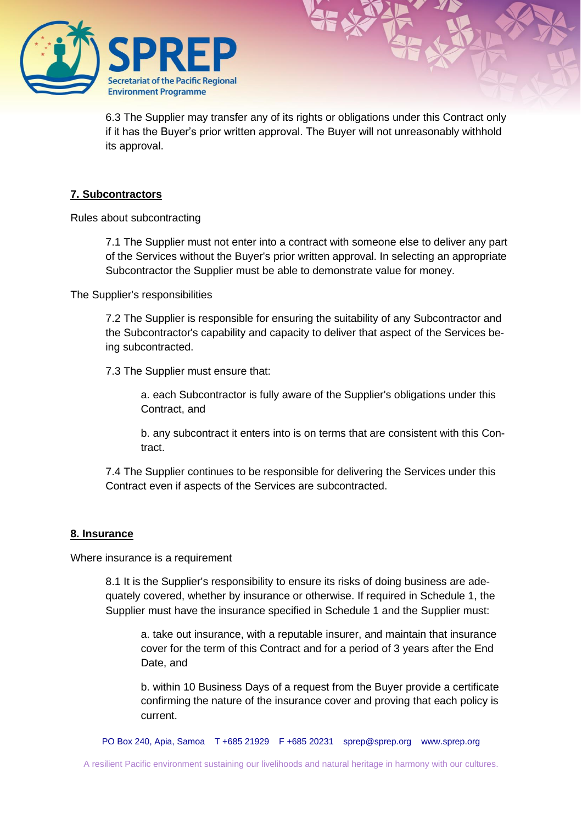

6.3 The Supplier may transfer any of its rights or obligations under this Contract only if it has the Buyer's prior written approval. The Buyer will not unreasonably withhold its approval.

#### **7. Subcontractors**

Rules about subcontracting

7.1 The Supplier must not enter into a contract with someone else to deliver any part of the Services without the Buyer's prior written approval. In selecting an appropriate Subcontractor the Supplier must be able to demonstrate value for money.

The Supplier's responsibilities

7.2 The Supplier is responsible for ensuring the suitability of any Subcontractor and the Subcontractor's capability and capacity to deliver that aspect of the Services being subcontracted.

7.3 The Supplier must ensure that:

a. each Subcontractor is fully aware of the Supplier's obligations under this Contract, and

b. any subcontract it enters into is on terms that are consistent with this Contract.

7.4 The Supplier continues to be responsible for delivering the Services under this Contract even if aspects of the Services are subcontracted.

#### **8. Insurance**

Where insurance is a requirement

8.1 It is the Supplier's responsibility to ensure its risks of doing business are adequately covered, whether by insurance or otherwise. If required in Schedule 1, the Supplier must have the insurance specified in Schedule 1 and the Supplier must:

a. take out insurance, with a reputable insurer, and maintain that insurance cover for the term of this Contract and for a period of 3 years after the End Date, and

b. within 10 Business Days of a request from the Buyer provide a certificate confirming the nature of the insurance cover and proving that each policy is current.

PO Box 240, Apia, Samoa T +685 21929 F +685 20231 [sprep@sprep.org](mailto:sprep@sprep.org) [www.sprep.org](http://www.sprep.org/)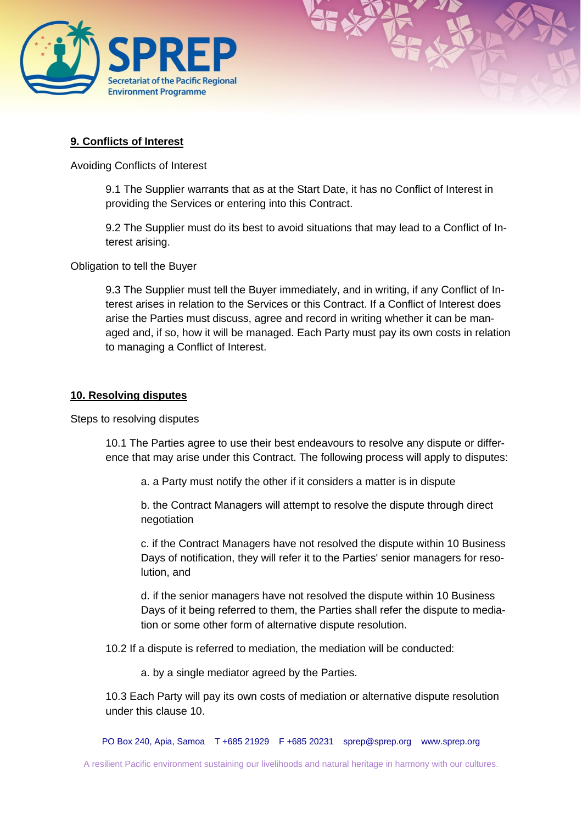

#### **9. Conflicts of Interest**

Avoiding Conflicts of Interest

9.1 The Supplier warrants that as at the Start Date, it has no Conflict of Interest in providing the Services or entering into this Contract.

9.2 The Supplier must do its best to avoid situations that may lead to a Conflict of Interest arising.

Obligation to tell the Buyer

9.3 The Supplier must tell the Buyer immediately, and in writing, if any Conflict of Interest arises in relation to the Services or this Contract. If a Conflict of Interest does arise the Parties must discuss, agree and record in writing whether it can be managed and, if so, how it will be managed. Each Party must pay its own costs in relation to managing a Conflict of Interest.

#### **10. Resolving disputes**

Steps to resolving disputes

10.1 The Parties agree to use their best endeavours to resolve any dispute or difference that may arise under this Contract. The following process will apply to disputes:

a. a Party must notify the other if it considers a matter is in dispute

b. the Contract Managers will attempt to resolve the dispute through direct negotiation

c. if the Contract Managers have not resolved the dispute within 10 Business Days of notification, they will refer it to the Parties' senior managers for resolution, and

d. if the senior managers have not resolved the dispute within 10 Business Days of it being referred to them, the Parties shall refer the dispute to mediation or some other form of alternative dispute resolution.

10.2 If a dispute is referred to mediation, the mediation will be conducted:

a. by a single mediator agreed by the Parties.

10.3 Each Party will pay its own costs of mediation or alternative dispute resolution under this clause 10.

PO Box 240, Apia, Samoa T +685 21929 F +685 20231 [sprep@sprep.org](mailto:sprep@sprep.org) [www.sprep.org](http://www.sprep.org/)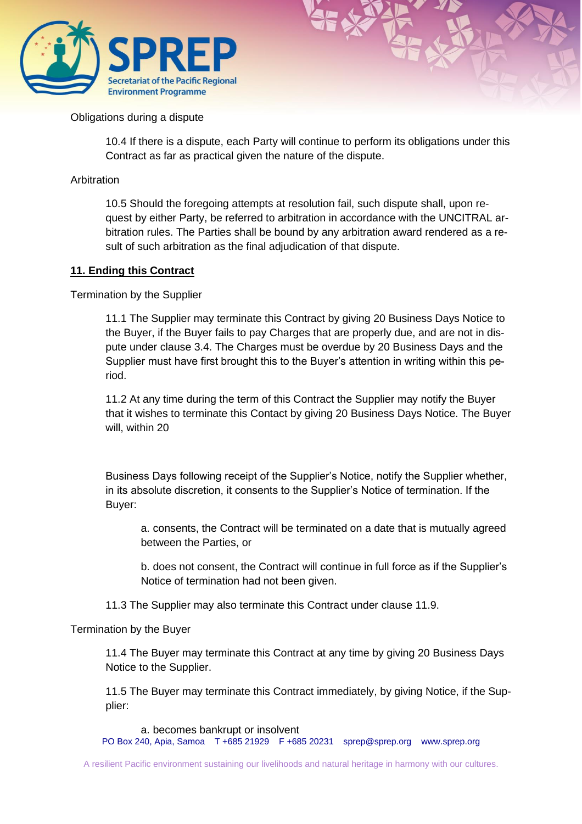

#### Obligations during a dispute

10.4 If there is a dispute, each Party will continue to perform its obligations under this Contract as far as practical given the nature of the dispute.

#### Arbitration

10.5 Should the foregoing attempts at resolution fail, such dispute shall, upon request by either Party, be referred to arbitration in accordance with the UNCITRAL arbitration rules. The Parties shall be bound by any arbitration award rendered as a result of such arbitration as the final adjudication of that dispute.

#### **11. Ending this Contract**

Termination by the Supplier

11.1 The Supplier may terminate this Contract by giving 20 Business Days Notice to the Buyer, if the Buyer fails to pay Charges that are properly due, and are not in dispute under clause 3.4. The Charges must be overdue by 20 Business Days and the Supplier must have first brought this to the Buyer's attention in writing within this period.

11.2 At any time during the term of this Contract the Supplier may notify the Buyer that it wishes to terminate this Contact by giving 20 Business Days Notice. The Buyer will, within 20

Business Days following receipt of the Supplier's Notice, notify the Supplier whether, in its absolute discretion, it consents to the Supplier's Notice of termination. If the Buyer:

a. consents, the Contract will be terminated on a date that is mutually agreed between the Parties, or

b. does not consent, the Contract will continue in full force as if the Supplier's Notice of termination had not been given.

11.3 The Supplier may also terminate this Contract under clause 11.9.

#### Termination by the Buyer

11.4 The Buyer may terminate this Contract at any time by giving 20 Business Days Notice to the Supplier.

11.5 The Buyer may terminate this Contract immediately, by giving Notice, if the Supplier:

PO Box 240, Apia, Samoa T +685 21929 F +685 20231 [sprep@sprep.org](mailto:sprep@sprep.org) [www.sprep.org](http://www.sprep.org/) a. becomes bankrupt or insolvent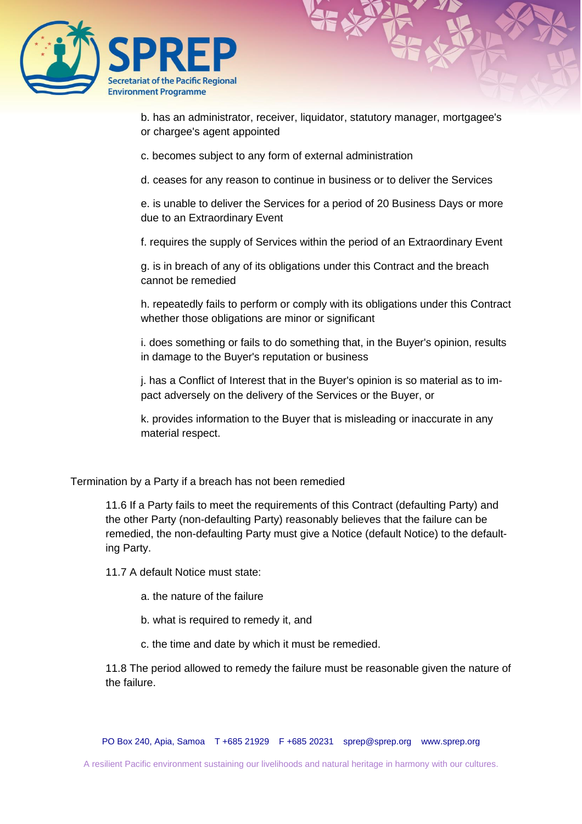

b. has an administrator, receiver, liquidator, statutory manager, mortgagee's or chargee's agent appointed

c. becomes subject to any form of external administration

d. ceases for any reason to continue in business or to deliver the Services

e. is unable to deliver the Services for a period of 20 Business Days or more due to an Extraordinary Event

f. requires the supply of Services within the period of an Extraordinary Event

g. is in breach of any of its obligations under this Contract and the breach cannot be remedied

h. repeatedly fails to perform or comply with its obligations under this Contract whether those obligations are minor or significant

i. does something or fails to do something that, in the Buyer's opinion, results in damage to the Buyer's reputation or business

j. has a Conflict of Interest that in the Buyer's opinion is so material as to impact adversely on the delivery of the Services or the Buyer, or

k. provides information to the Buyer that is misleading or inaccurate in any material respect.

Termination by a Party if a breach has not been remedied

11.6 If a Party fails to meet the requirements of this Contract (defaulting Party) and the other Party (non-defaulting Party) reasonably believes that the failure can be remedied, the non-defaulting Party must give a Notice (default Notice) to the defaulting Party.

11.7 A default Notice must state:

a. the nature of the failure

b. what is required to remedy it, and

c. the time and date by which it must be remedied.

11.8 The period allowed to remedy the failure must be reasonable given the nature of the failure.

PO Box 240, Apia, Samoa T +685 21929 F +685 20231 [sprep@sprep.org](mailto:sprep@sprep.org) [www.sprep.org](http://www.sprep.org/)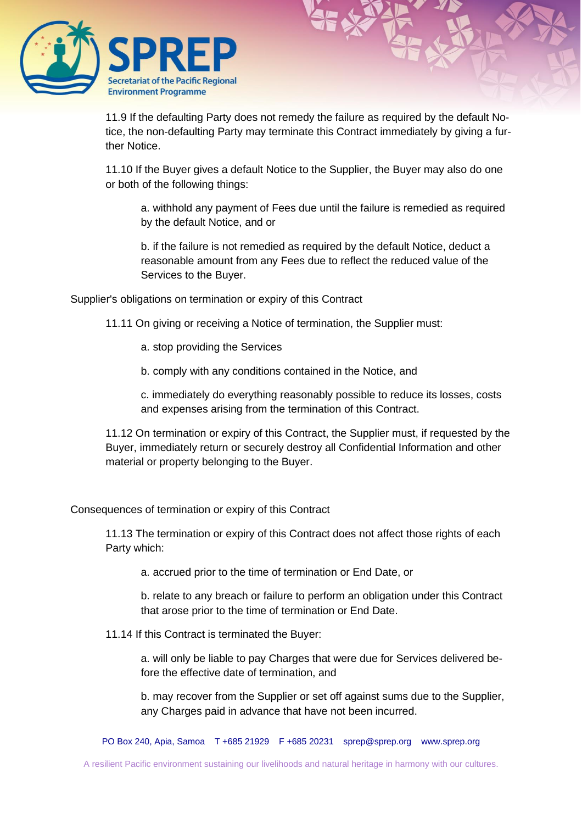

11.9 If the defaulting Party does not remedy the failure as required by the default Notice, the non-defaulting Party may terminate this Contract immediately by giving a further Notice.

11.10 If the Buyer gives a default Notice to the Supplier, the Buyer may also do one or both of the following things:

a. withhold any payment of Fees due until the failure is remedied as required by the default Notice, and or

b. if the failure is not remedied as required by the default Notice, deduct a reasonable amount from any Fees due to reflect the reduced value of the Services to the Buyer.

Supplier's obligations on termination or expiry of this Contract

- 11.11 On giving or receiving a Notice of termination, the Supplier must:
	- a. stop providing the Services
	- b. comply with any conditions contained in the Notice, and

c. immediately do everything reasonably possible to reduce its losses, costs and expenses arising from the termination of this Contract.

11.12 On termination or expiry of this Contract, the Supplier must, if requested by the Buyer, immediately return or securely destroy all Confidential Information and other material or property belonging to the Buyer.

Consequences of termination or expiry of this Contract

11.13 The termination or expiry of this Contract does not affect those rights of each Party which:

a. accrued prior to the time of termination or End Date, or

b. relate to any breach or failure to perform an obligation under this Contract that arose prior to the time of termination or End Date.

11.14 If this Contract is terminated the Buyer:

a. will only be liable to pay Charges that were due for Services delivered before the effective date of termination, and

b. may recover from the Supplier or set off against sums due to the Supplier, any Charges paid in advance that have not been incurred.

PO Box 240, Apia, Samoa T +685 21929 F +685 20231 [sprep@sprep.org](mailto:sprep@sprep.org) [www.sprep.org](http://www.sprep.org/)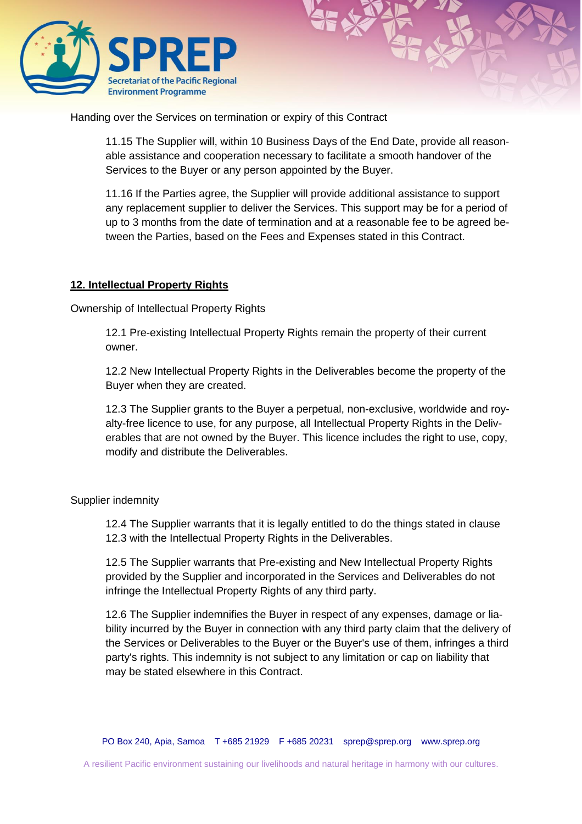

Handing over the Services on termination or expiry of this Contract

11.15 The Supplier will, within 10 Business Days of the End Date, provide all reasonable assistance and cooperation necessary to facilitate a smooth handover of the Services to the Buyer or any person appointed by the Buyer.

11.16 If the Parties agree, the Supplier will provide additional assistance to support any replacement supplier to deliver the Services. This support may be for a period of up to 3 months from the date of termination and at a reasonable fee to be agreed between the Parties, based on the Fees and Expenses stated in this Contract.

#### **12. Intellectual Property Rights**

Ownership of Intellectual Property Rights

12.1 Pre-existing Intellectual Property Rights remain the property of their current owner.

12.2 New Intellectual Property Rights in the Deliverables become the property of the Buyer when they are created.

12.3 The Supplier grants to the Buyer a perpetual, non-exclusive, worldwide and royalty-free licence to use, for any purpose, all Intellectual Property Rights in the Deliverables that are not owned by the Buyer. This licence includes the right to use, copy, modify and distribute the Deliverables.

#### Supplier indemnity

12.4 The Supplier warrants that it is legally entitled to do the things stated in clause 12.3 with the Intellectual Property Rights in the Deliverables.

12.5 The Supplier warrants that Pre-existing and New Intellectual Property Rights provided by the Supplier and incorporated in the Services and Deliverables do not infringe the Intellectual Property Rights of any third party.

12.6 The Supplier indemnifies the Buyer in respect of any expenses, damage or liability incurred by the Buyer in connection with any third party claim that the delivery of the Services or Deliverables to the Buyer or the Buyer's use of them, infringes a third party's rights. This indemnity is not subject to any limitation or cap on liability that may be stated elsewhere in this Contract.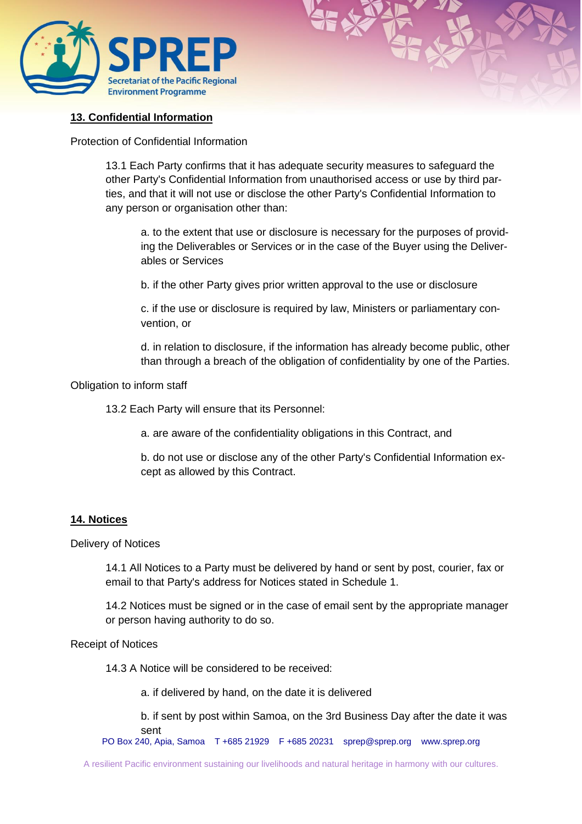

#### **13. Confidential Information**

Protection of Confidential Information

13.1 Each Party confirms that it has adequate security measures to safeguard the other Party's Confidential Information from unauthorised access or use by third parties, and that it will not use or disclose the other Party's Confidential Information to any person or organisation other than:

a. to the extent that use or disclosure is necessary for the purposes of providing the Deliverables or Services or in the case of the Buyer using the Deliverables or Services

b. if the other Party gives prior written approval to the use or disclosure

c. if the use or disclosure is required by law, Ministers or parliamentary convention, or

d. in relation to disclosure, if the information has already become public, other than through a breach of the obligation of confidentiality by one of the Parties.

Obligation to inform staff

13.2 Each Party will ensure that its Personnel:

a. are aware of the confidentiality obligations in this Contract, and

b. do not use or disclose any of the other Party's Confidential Information except as allowed by this Contract.

#### **14. Notices**

#### Delivery of Notices

14.1 All Notices to a Party must be delivered by hand or sent by post, courier, fax or email to that Party's address for Notices stated in Schedule 1.

14.2 Notices must be signed or in the case of email sent by the appropriate manager or person having authority to do so.

#### Receipt of Notices

14.3 A Notice will be considered to be received:

a. if delivered by hand, on the date it is delivered

b. if sent by post within Samoa, on the 3rd Business Day after the date it was sent

PO Box 240, Apia, Samoa T +685 21929 F +685 20231 [sprep@sprep.org](mailto:sprep@sprep.org) [www.sprep.org](http://www.sprep.org/)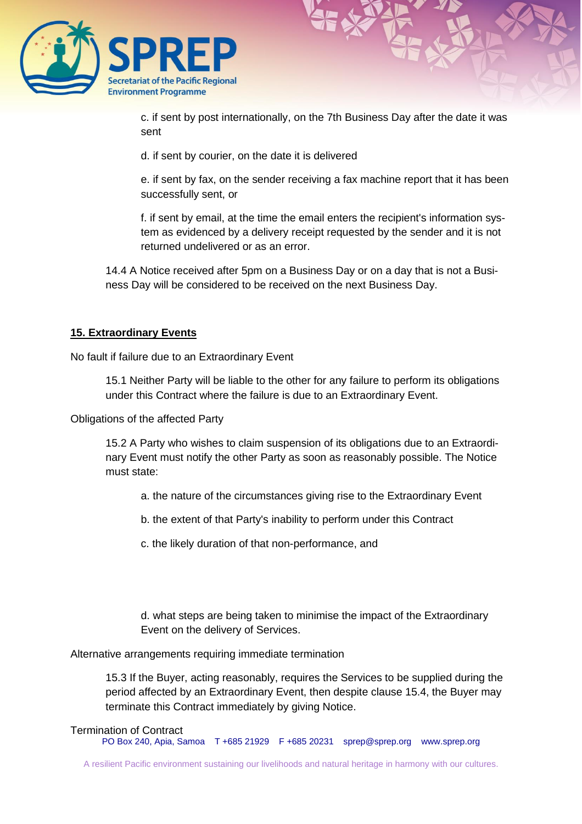

c. if sent by post internationally, on the 7th Business Day after the date it was sent

d. if sent by courier, on the date it is delivered

e. if sent by fax, on the sender receiving a fax machine report that it has been successfully sent, or

f. if sent by email, at the time the email enters the recipient's information system as evidenced by a delivery receipt requested by the sender and it is not returned undelivered or as an error.

14.4 A Notice received after 5pm on a Business Day or on a day that is not a Business Day will be considered to be received on the next Business Day.

#### **15. Extraordinary Events**

No fault if failure due to an Extraordinary Event

15.1 Neither Party will be liable to the other for any failure to perform its obligations under this Contract where the failure is due to an Extraordinary Event.

Obligations of the affected Party

15.2 A Party who wishes to claim suspension of its obligations due to an Extraordinary Event must notify the other Party as soon as reasonably possible. The Notice must state:

a. the nature of the circumstances giving rise to the Extraordinary Event

b. the extent of that Party's inability to perform under this Contract

c. the likely duration of that non-performance, and

d. what steps are being taken to minimise the impact of the Extraordinary Event on the delivery of Services.

Alternative arrangements requiring immediate termination

15.3 If the Buyer, acting reasonably, requires the Services to be supplied during the period affected by an Extraordinary Event, then despite clause 15.4, the Buyer may terminate this Contract immediately by giving Notice.

#### Termination of Contract

PO Box 240, Apia, Samoa T +685 21929 F +685 20231 [sprep@sprep.org](mailto:sprep@sprep.org) [www.sprep.org](http://www.sprep.org/)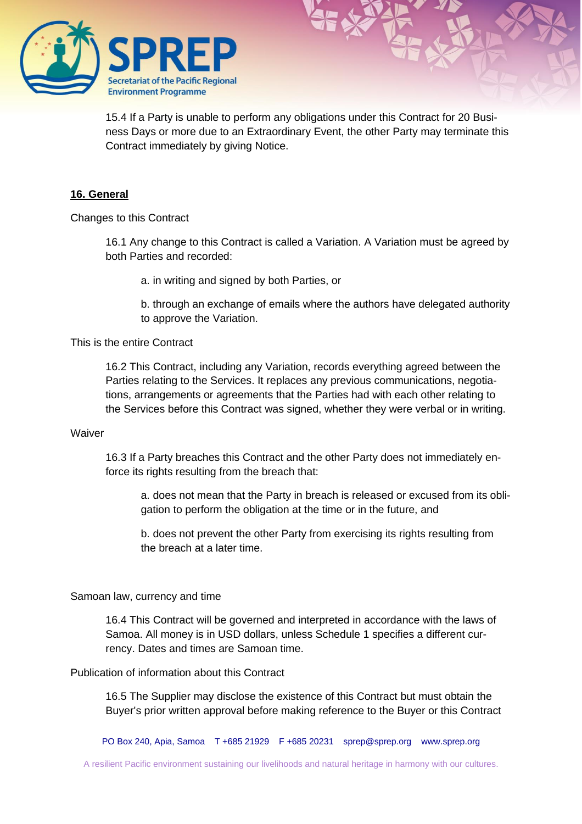

15.4 If a Party is unable to perform any obligations under this Contract for 20 Business Days or more due to an Extraordinary Event, the other Party may terminate this Contract immediately by giving Notice.

#### **16. General**

Changes to this Contract

16.1 Any change to this Contract is called a Variation. A Variation must be agreed by both Parties and recorded:

a. in writing and signed by both Parties, or

b. through an exchange of emails where the authors have delegated authority to approve the Variation.

This is the entire Contract

16.2 This Contract, including any Variation, records everything agreed between the Parties relating to the Services. It replaces any previous communications, negotiations, arrangements or agreements that the Parties had with each other relating to the Services before this Contract was signed, whether they were verbal or in writing.

#### Waiver

16.3 If a Party breaches this Contract and the other Party does not immediately enforce its rights resulting from the breach that:

a. does not mean that the Party in breach is released or excused from its obligation to perform the obligation at the time or in the future, and

b. does not prevent the other Party from exercising its rights resulting from the breach at a later time.

#### Samoan law, currency and time

16.4 This Contract will be governed and interpreted in accordance with the laws of Samoa. All money is in USD dollars, unless Schedule 1 specifies a different currency. Dates and times are Samoan time.

#### Publication of information about this Contract

16.5 The Supplier may disclose the existence of this Contract but must obtain the Buyer's prior written approval before making reference to the Buyer or this Contract

PO Box 240, Apia, Samoa T +685 21929 F +685 20231 [sprep@sprep.org](mailto:sprep@sprep.org) [www.sprep.org](http://www.sprep.org/)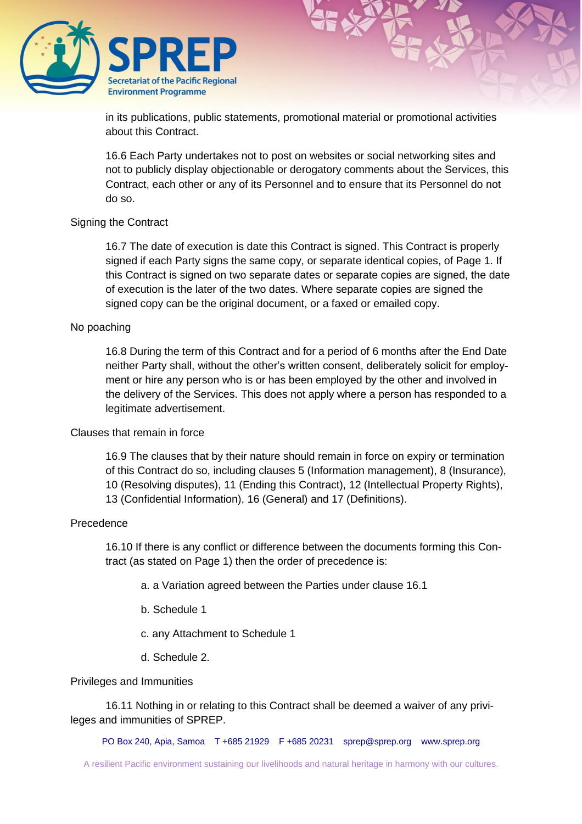

in its publications, public statements, promotional material or promotional activities about this Contract.

16.6 Each Party undertakes not to post on websites or social networking sites and not to publicly display objectionable or derogatory comments about the Services, this Contract, each other or any of its Personnel and to ensure that its Personnel do not do so.

#### Signing the Contract

16.7 The date of execution is date this Contract is signed. This Contract is properly signed if each Party signs the same copy, or separate identical copies, of Page 1. If this Contract is signed on two separate dates or separate copies are signed, the date of execution is the later of the two dates. Where separate copies are signed the signed copy can be the original document, or a faxed or emailed copy.

#### No poaching

16.8 During the term of this Contract and for a period of 6 months after the End Date neither Party shall, without the other's written consent, deliberately solicit for employment or hire any person who is or has been employed by the other and involved in the delivery of the Services. This does not apply where a person has responded to a legitimate advertisement.

#### Clauses that remain in force

16.9 The clauses that by their nature should remain in force on expiry or termination of this Contract do so, including clauses 5 (Information management), 8 (Insurance), 10 (Resolving disputes), 11 (Ending this Contract), 12 (Intellectual Property Rights), 13 (Confidential Information), 16 (General) and 17 (Definitions).

#### Precedence

16.10 If there is any conflict or difference between the documents forming this Contract (as stated on Page 1) then the order of precedence is:

a. a Variation agreed between the Parties under clause 16.1

b. Schedule 1

c. any Attachment to Schedule 1

d. Schedule 2.

#### Privileges and Immunities

16.11 Nothing in or relating to this Contract shall be deemed a waiver of any privileges and immunities of SPREP.

PO Box 240, Apia, Samoa T +685 21929 F +685 20231 [sprep@sprep.org](mailto:sprep@sprep.org) [www.sprep.org](http://www.sprep.org/)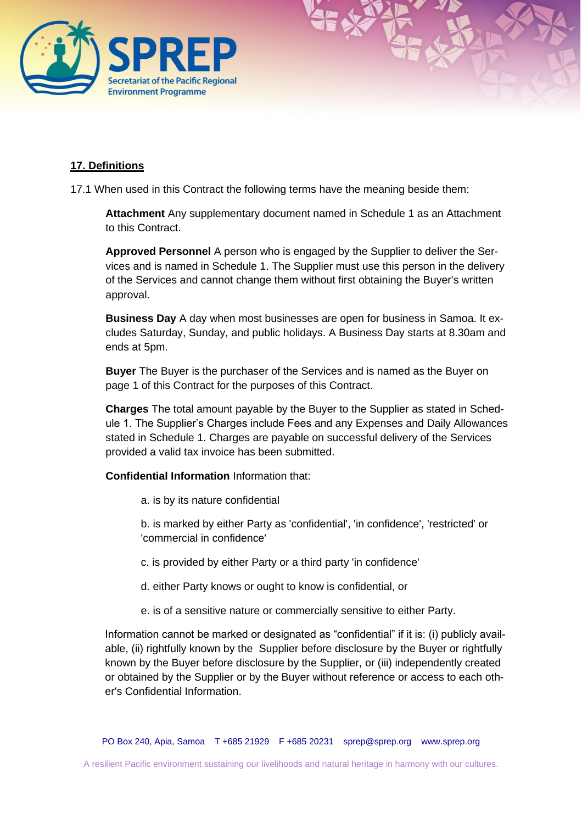

## **17. Definitions**

17.1 When used in this Contract the following terms have the meaning beside them:

**Attachment** Any supplementary document named in Schedule 1 as an Attachment to this Contract.

**Approved Personnel** A person who is engaged by the Supplier to deliver the Services and is named in Schedule 1. The Supplier must use this person in the delivery of the Services and cannot change them without first obtaining the Buyer's written approval.

**Business Day** A day when most businesses are open for business in Samoa. It excludes Saturday, Sunday, and public holidays. A Business Day starts at 8.30am and ends at 5pm.

**Buyer** The Buyer is the purchaser of the Services and is named as the Buyer on page 1 of this Contract for the purposes of this Contract.

**Charges** The total amount payable by the Buyer to the Supplier as stated in Schedule 1. The Supplier's Charges include Fees and any Expenses and Daily Allowances stated in Schedule 1. Charges are payable on successful delivery of the Services provided a valid tax invoice has been submitted.

**Confidential Information** Information that:

a. is by its nature confidential

b. is marked by either Party as 'confidential', 'in confidence', 'restricted' or 'commercial in confidence'

- c. is provided by either Party or a third party 'in confidence'
- d. either Party knows or ought to know is confidential, or
- e. is of a sensitive nature or commercially sensitive to either Party.

Information cannot be marked or designated as "confidential" if it is: (i) publicly available, (ii) rightfully known by the Supplier before disclosure by the Buyer or rightfully known by the Buyer before disclosure by the Supplier, or (iii) independently created or obtained by the Supplier or by the Buyer without reference or access to each other's Confidential Information.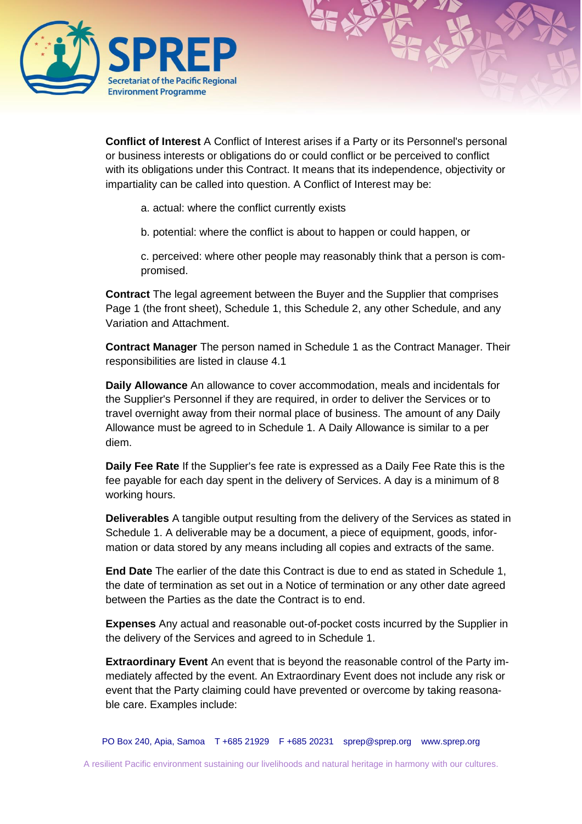

**Conflict of Interest** A Conflict of Interest arises if a Party or its Personnel's personal or business interests or obligations do or could conflict or be perceived to conflict with its obligations under this Contract. It means that its independence, objectivity or impartiality can be called into question. A Conflict of Interest may be:

- a. actual: where the conflict currently exists
- b. potential: where the conflict is about to happen or could happen, or

c. perceived: where other people may reasonably think that a person is compromised.

**Contract** The legal agreement between the Buyer and the Supplier that comprises Page 1 (the front sheet), Schedule 1, this Schedule 2, any other Schedule, and any Variation and Attachment.

**Contract Manager** The person named in Schedule 1 as the Contract Manager. Their responsibilities are listed in clause 4.1

**Daily Allowance** An allowance to cover accommodation, meals and incidentals for the Supplier's Personnel if they are required, in order to deliver the Services or to travel overnight away from their normal place of business. The amount of any Daily Allowance must be agreed to in Schedule 1. A Daily Allowance is similar to a per diem.

**Daily Fee Rate** If the Supplier's fee rate is expressed as a Daily Fee Rate this is the fee payable for each day spent in the delivery of Services. A day is a minimum of 8 working hours.

**Deliverables** A tangible output resulting from the delivery of the Services as stated in Schedule 1. A deliverable may be a document, a piece of equipment, goods, information or data stored by any means including all copies and extracts of the same.

**End Date** The earlier of the date this Contract is due to end as stated in Schedule 1, the date of termination as set out in a Notice of termination or any other date agreed between the Parties as the date the Contract is to end.

**Expenses** Any actual and reasonable out-of-pocket costs incurred by the Supplier in the delivery of the Services and agreed to in Schedule 1.

**Extraordinary Event** An event that is beyond the reasonable control of the Party immediately affected by the event. An Extraordinary Event does not include any risk or event that the Party claiming could have prevented or overcome by taking reasonable care. Examples include:

PO Box 240, Apia, Samoa T +685 21929 F +685 20231 [sprep@sprep.org](mailto:sprep@sprep.org) [www.sprep.org](http://www.sprep.org/)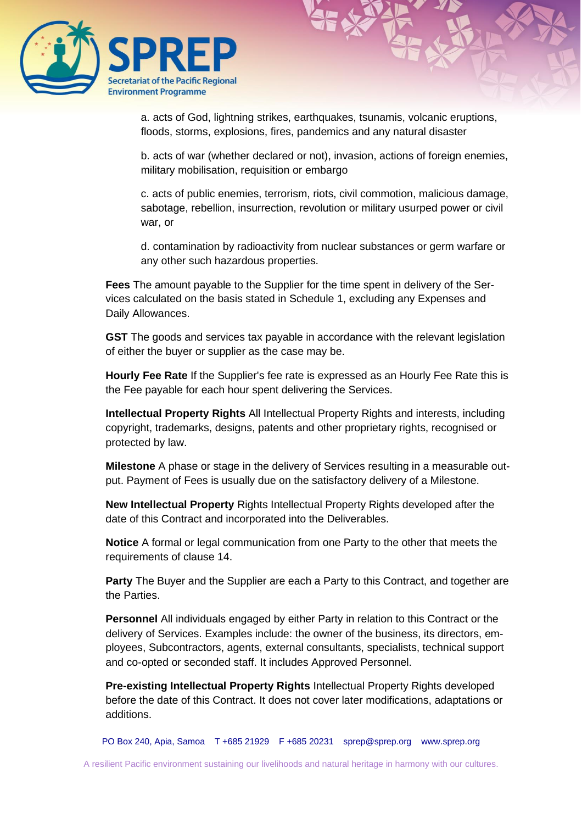

a. acts of God, lightning strikes, earthquakes, tsunamis, volcanic eruptions, floods, storms, explosions, fires, pandemics and any natural disaster

b. acts of war (whether declared or not), invasion, actions of foreign enemies, military mobilisation, requisition or embargo

c. acts of public enemies, terrorism, riots, civil commotion, malicious damage, sabotage, rebellion, insurrection, revolution or military usurped power or civil war, or

d. contamination by radioactivity from nuclear substances or germ warfare or any other such hazardous properties.

**Fees** The amount payable to the Supplier for the time spent in delivery of the Services calculated on the basis stated in Schedule 1, excluding any Expenses and Daily Allowances.

**GST** The goods and services tax payable in accordance with the relevant legislation of either the buyer or supplier as the case may be.

**Hourly Fee Rate** If the Supplier's fee rate is expressed as an Hourly Fee Rate this is the Fee payable for each hour spent delivering the Services.

**Intellectual Property Rights** All Intellectual Property Rights and interests, including copyright, trademarks, designs, patents and other proprietary rights, recognised or protected by law.

**Milestone** A phase or stage in the delivery of Services resulting in a measurable output. Payment of Fees is usually due on the satisfactory delivery of a Milestone.

**New Intellectual Property** Rights Intellectual Property Rights developed after the date of this Contract and incorporated into the Deliverables.

**Notice** A formal or legal communication from one Party to the other that meets the requirements of clause 14.

**Party** The Buyer and the Supplier are each a Party to this Contract, and together are the Parties.

**Personnel** All individuals engaged by either Party in relation to this Contract or the delivery of Services. Examples include: the owner of the business, its directors, employees, Subcontractors, agents, external consultants, specialists, technical support and co-opted or seconded staff. It includes Approved Personnel.

**Pre-existing Intellectual Property Rights** Intellectual Property Rights developed before the date of this Contract. It does not cover later modifications, adaptations or additions.

PO Box 240, Apia, Samoa T +685 21929 F +685 20231 [sprep@sprep.org](mailto:sprep@sprep.org) [www.sprep.org](http://www.sprep.org/)